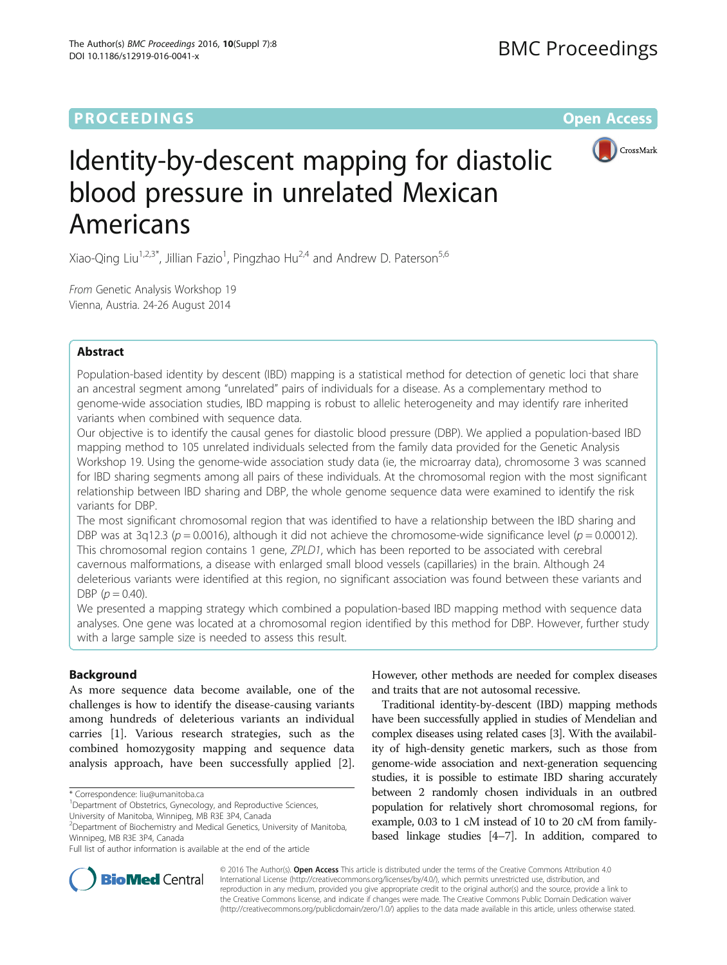## **PROCEEDINGS CONSUMING SECTION CONSUMING SECTION CONSUMING SECTION CONSUMING SECTION CONSUMING SECTION CONSUMING SECTION CONSUMING SECTION CONSUMING SECTION CONSUMING SECTION CONSUMING SECTION CONSUMING SECTION CONSUMING**



# Identity-by-descent mapping for diastolic blood pressure in unrelated Mexican Americans

Xiao-Qing Liu<sup>1,2,3\*</sup>, Jillian Fazio<sup>1</sup>, Pingzhao Hu<sup>2,4</sup> and Andrew D. Paterson<sup>5,6</sup>

From Genetic Analysis Workshop 19 Vienna, Austria. 24-26 August 2014

## Abstract

Population-based identity by descent (IBD) mapping is a statistical method for detection of genetic loci that share an ancestral segment among "unrelated" pairs of individuals for a disease. As a complementary method to genome-wide association studies, IBD mapping is robust to allelic heterogeneity and may identify rare inherited variants when combined with sequence data.

Our objective is to identify the causal genes for diastolic blood pressure (DBP). We applied a population-based IBD mapping method to 105 unrelated individuals selected from the family data provided for the Genetic Analysis Workshop 19. Using the genome-wide association study data (ie, the microarray data), chromosome 3 was scanned for IBD sharing segments among all pairs of these individuals. At the chromosomal region with the most significant relationship between IBD sharing and DBP, the whole genome sequence data were examined to identify the risk variants for DBP.

The most significant chromosomal region that was identified to have a relationship between the IBD sharing and DBP was at 3q12.3 ( $p = 0.0016$ ), although it did not achieve the chromosome-wide significance level ( $p = 0.00012$ ). This chromosomal region contains 1 gene, ZPLD1, which has been reported to be associated with cerebral cavernous malformations, a disease with enlarged small blood vessels (capillaries) in the brain. Although 24 deleterious variants were identified at this region, no significant association was found between these variants and DBP  $(p = 0.40)$ .

We presented a mapping strategy which combined a population-based IBD mapping method with sequence data analyses. One gene was located at a chromosomal region identified by this method for DBP. However, further study with a large sample size is needed to assess this result.

## Background

As more sequence data become available, one of the challenges is how to identify the disease-causing variants among hundreds of deleterious variants an individual carries [[1\]](#page-4-0). Various research strategies, such as the combined homozygosity mapping and sequence data analysis approach, have been successfully applied [\[2](#page-4-0)].

University of Manitoba, Winnipeg, MB R3E 3P4, Canada

However, other methods are needed for complex diseases and traits that are not autosomal recessive.

Traditional identity-by-descent (IBD) mapping methods have been successfully applied in studies of Mendelian and complex diseases using related cases [\[3\]](#page-4-0). With the availability of high-density genetic markers, such as those from genome-wide association and next-generation sequencing studies, it is possible to estimate IBD sharing accurately between 2 randomly chosen individuals in an outbred population for relatively short chromosomal regions, for example, 0.03 to 1 cM instead of 10 to 20 cM from familybased linkage studies [\[4](#page-4-0)–[7\]](#page-4-0). In addition, compared to



© 2016 The Author(s). Open Access This article is distributed under the terms of the Creative Commons Attribution 4.0 International License [\(http://creativecommons.org/licenses/by/4.0/](http://creativecommons.org/licenses/by/4.0/)), which permits unrestricted use, distribution, and reproduction in any medium, provided you give appropriate credit to the original author(s) and the source, provide a link to the Creative Commons license, and indicate if changes were made. The Creative Commons Public Domain Dedication waiver [\(http://creativecommons.org/publicdomain/zero/1.0/](http://creativecommons.org/publicdomain/zero/1.0/)) applies to the data made available in this article, unless otherwise stated.

<sup>\*</sup> Correspondence: [liu@umanitoba.ca](mailto:liu@umanitoba.ca) <sup>1</sup>

<sup>&</sup>lt;sup>1</sup>Department of Obstetrics, Gynecology, and Reproductive Sciences,

<sup>&</sup>lt;sup>2</sup> Department of Biochemistry and Medical Genetics, University of Manitoba, Winnipeg, MB R3E 3P4, Canada

Full list of author information is available at the end of the article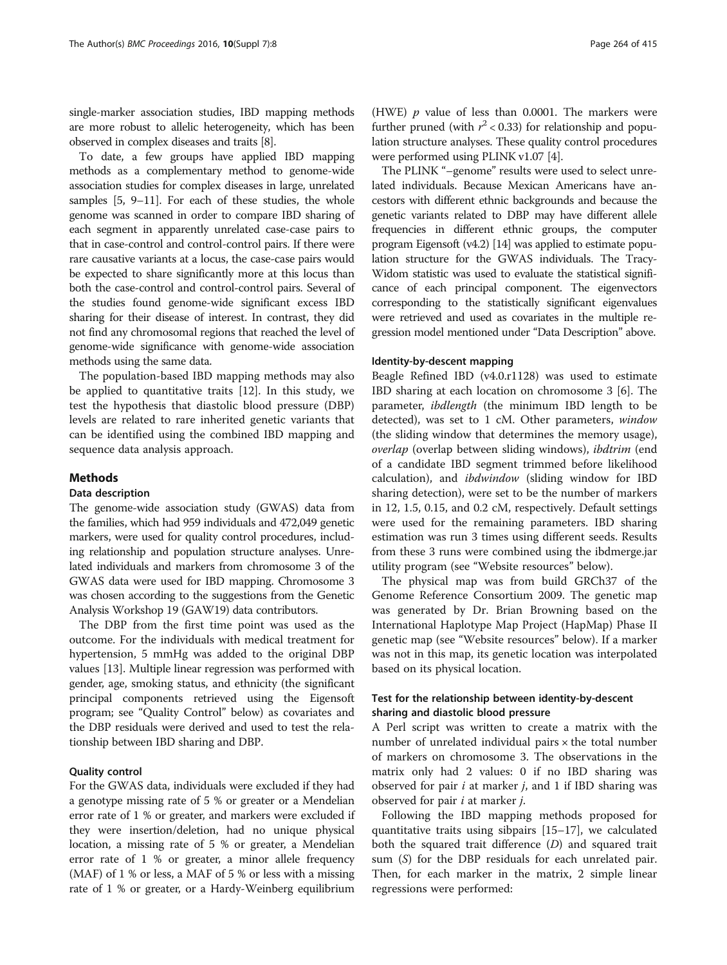single-marker association studies, IBD mapping methods are more robust to allelic heterogeneity, which has been observed in complex diseases and traits [[8](#page-4-0)].

To date, a few groups have applied IBD mapping methods as a complementary method to genome-wide association studies for complex diseases in large, unrelated samples [[5, 9](#page-4-0)–[11](#page-4-0)]. For each of these studies, the whole genome was scanned in order to compare IBD sharing of each segment in apparently unrelated case-case pairs to that in case-control and control-control pairs. If there were rare causative variants at a locus, the case-case pairs would be expected to share significantly more at this locus than both the case-control and control-control pairs. Several of the studies found genome-wide significant excess IBD sharing for their disease of interest. In contrast, they did not find any chromosomal regions that reached the level of genome-wide significance with genome-wide association methods using the same data.

The population-based IBD mapping methods may also be applied to quantitative traits [[12\]](#page-4-0). In this study, we test the hypothesis that diastolic blood pressure (DBP) levels are related to rare inherited genetic variants that can be identified using the combined IBD mapping and sequence data analysis approach.

## Methods

## Data description

The genome-wide association study (GWAS) data from the families, which had 959 individuals and 472,049 genetic markers, were used for quality control procedures, including relationship and population structure analyses. Unrelated individuals and markers from chromosome 3 of the GWAS data were used for IBD mapping. Chromosome 3 was chosen according to the suggestions from the Genetic Analysis Workshop 19 (GAW19) data contributors.

The DBP from the first time point was used as the outcome. For the individuals with medical treatment for hypertension, 5 mmHg was added to the original DBP values [[13\]](#page-4-0). Multiple linear regression was performed with gender, age, smoking status, and ethnicity (the significant principal components retrieved using the Eigensoft program; see "Quality Control" below) as covariates and the DBP residuals were derived and used to test the relationship between IBD sharing and DBP.

## Quality control

For the GWAS data, individuals were excluded if they had a genotype missing rate of 5 % or greater or a Mendelian error rate of 1 % or greater, and markers were excluded if they were insertion/deletion, had no unique physical location, a missing rate of 5 % or greater, a Mendelian error rate of 1 % or greater, a minor allele frequency (MAF) of 1 % or less, a MAF of 5 % or less with a missing rate of 1 % or greater, or a Hardy-Weinberg equilibrium

(HWE)  $p$  value of less than 0.0001. The markers were further pruned (with  $r^2$  < 0.33) for relationship and population structure analyses. These quality control procedures were performed using PLINK v1.07 [[4](#page-4-0)].

The PLINK "–genome" results were used to select unrelated individuals. Because Mexican Americans have ancestors with different ethnic backgrounds and because the genetic variants related to DBP may have different allele frequencies in different ethnic groups, the computer program Eigensoft (v4.2) [\[14\]](#page-4-0) was applied to estimate population structure for the GWAS individuals. The Tracy-Widom statistic was used to evaluate the statistical significance of each principal component. The eigenvectors corresponding to the statistically significant eigenvalues were retrieved and used as covariates in the multiple regression model mentioned under "Data Description" above.

## Identity-by-descent mapping

Beagle Refined IBD (v4.0.r1128) was used to estimate IBD sharing at each location on chromosome 3 [[6\]](#page-4-0). The parameter, *ibdlength* (the minimum IBD length to be detected), was set to 1 cM. Other parameters, window (the sliding window that determines the memory usage), overlap (overlap between sliding windows), ibdtrim (end of a candidate IBD segment trimmed before likelihood calculation), and ibdwindow (sliding window for IBD sharing detection), were set to be the number of markers in 12, 1.5, 0.15, and 0.2 cM, respectively. Default settings were used for the remaining parameters. IBD sharing estimation was run 3 times using different seeds. Results from these 3 runs were combined using the ibdmerge.jar utility program (see "Website resources" below).

The physical map was from build GRCh37 of the Genome Reference Consortium 2009. The genetic map was generated by Dr. Brian Browning based on the International Haplotype Map Project (HapMap) Phase II genetic map (see "Website resources" below). If a marker was not in this map, its genetic location was interpolated based on its physical location.

## Test for the relationship between identity-by-descent sharing and diastolic blood pressure

A Perl script was written to create a matrix with the number of unrelated individual pairs  $\times$  the total number of markers on chromosome 3. The observations in the matrix only had 2 values: 0 if no IBD sharing was observed for pair  $i$  at marker  $j$ , and 1 if IBD sharing was observed for pair i at marker j.

Following the IBD mapping methods proposed for quantitative traits using sibpairs [[15](#page-4-0)–[17\]](#page-4-0), we calculated both the squared trait difference  $(D)$  and squared trait sum (S) for the DBP residuals for each unrelated pair. Then, for each marker in the matrix, 2 simple linear regressions were performed: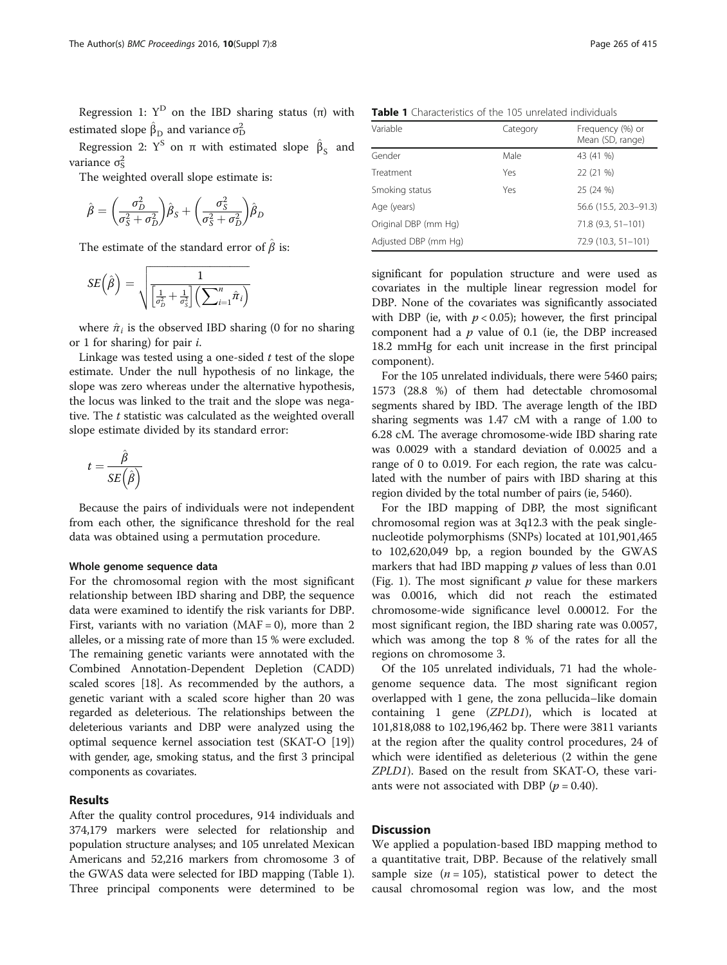Regression 1:  $Y^D$  on the IBD sharing status (π) with estimated slope  $\hat{\beta}_{\rm D}$  and variance  $\sigma_{\rm D}^2$ 

Regression 2:  $Y^S$  on π with estimated slope  $\hat{\beta}_S$  and variance  $\sigma_{\rm S}^2$ 

The weighted overall slope estimate is:

$$
\hat{\beta} = \left(\frac{\sigma_D^2}{\sigma_S^2 + \sigma_D^2}\right)\hat{\beta}_S + \left(\frac{\sigma_S^2}{\sigma_S^2 + \sigma_D^2}\right)\hat{\beta}_D
$$

The estimate of the standard error of  $\hat{\beta}$  is:

$$
SE\left(\hat{\beta}\right) = \sqrt{\frac{1}{\left[\frac{1}{\sigma_D^2} + \frac{1}{\sigma_S^2}\right]\left(\sum_{i=1}^n \hat{\pi}_i\right)}}
$$

where  $\hat{\pi}_i$  is the observed IBD sharing (0 for no sharing or 1 for sharing) for pair  $i$ .

Linkage was tested using a one-sided  $t$  test of the slope estimate. Under the null hypothesis of no linkage, the slope was zero whereas under the alternative hypothesis, the locus was linked to the trait and the slope was negative. The *t* statistic was calculated as the weighted overall slope estimate divided by its standard error:

$$
t=\frac{\hat{\beta}}{SE\left(\hat{\beta}\right)}
$$

Because the pairs of individuals were not independent from each other, the significance threshold for the real data was obtained using a permutation procedure.

## Whole genome sequence data

For the chromosomal region with the most significant relationship between IBD sharing and DBP, the sequence data were examined to identify the risk variants for DBP. First, variants with no variation  $(MAF = 0)$ , more than 2 alleles, or a missing rate of more than 15 % were excluded. The remaining genetic variants were annotated with the Combined Annotation-Dependent Depletion (CADD) scaled scores [[18](#page-4-0)]. As recommended by the authors, a genetic variant with a scaled score higher than 20 was regarded as deleterious. The relationships between the deleterious variants and DBP were analyzed using the optimal sequence kernel association test (SKAT-O [[19](#page-4-0)]) with gender, age, smoking status, and the first 3 principal components as covariates.

## Results

After the quality control procedures, 914 individuals and 374,179 markers were selected for relationship and population structure analyses; and 105 unrelated Mexican Americans and 52,216 markers from chromosome 3 of the GWAS data were selected for IBD mapping (Table 1). Three principal components were determined to be

Table 1 Characteristics of the 105 unrelated individuals

| Variable             | Category | Frequency (%) or<br>Mean (SD, range) |
|----------------------|----------|--------------------------------------|
| Gender               | Male     | 43 (41 %)                            |
| Treatment            | Yes      | 22 (21 %)                            |
| Smoking status       | Yes      | 25 (24 %)                            |
| Age (years)          |          | 56.6 (15.5, 20.3–91.3)               |
| Original DBP (mm Hg) |          | 71.8 (9.3, 51-101)                   |
| Adjusted DBP (mm Hg) |          | 72.9 (10.3, 51-101)                  |

significant for population structure and were used as covariates in the multiple linear regression model for DBP. None of the covariates was significantly associated with DBP (ie, with  $p < 0.05$ ); however, the first principal component had a  $p$  value of 0.1 (ie, the DBP increased 18.2 mmHg for each unit increase in the first principal component).

For the 105 unrelated individuals, there were 5460 pairs; 1573 (28.8 %) of them had detectable chromosomal segments shared by IBD. The average length of the IBD sharing segments was 1.47 cM with a range of 1.00 to 6.28 cM. The average chromosome-wide IBD sharing rate was 0.0029 with a standard deviation of 0.0025 and a range of 0 to 0.019. For each region, the rate was calculated with the number of pairs with IBD sharing at this region divided by the total number of pairs (ie, 5460).

For the IBD mapping of DBP, the most significant chromosomal region was at 3q12.3 with the peak singlenucleotide polymorphisms (SNPs) located at 101,901,465 to 102,620,049 bp, a region bounded by the GWAS markers that had IBD mapping  $p$  values of less than 0.01 (Fig. [1](#page-3-0)). The most significant  $p$  value for these markers was 0.0016, which did not reach the estimated chromosome-wide significance level 0.00012. For the most significant region, the IBD sharing rate was 0.0057, which was among the top 8 % of the rates for all the regions on chromosome 3.

Of the 105 unrelated individuals, 71 had the wholegenome sequence data. The most significant region overlapped with 1 gene, the zona pellucida–like domain containing 1 gene (ZPLD1), which is located at 101,818,088 to 102,196,462 bp. There were 3811 variants at the region after the quality control procedures, 24 of which were identified as deleterious (2 within the gene ZPLD1). Based on the result from SKAT-O, these variants were not associated with DBP ( $p = 0.40$ ).

## **Discussion**

We applied a population-based IBD mapping method to a quantitative trait, DBP. Because of the relatively small sample size ( $n = 105$ ), statistical power to detect the causal chromosomal region was low, and the most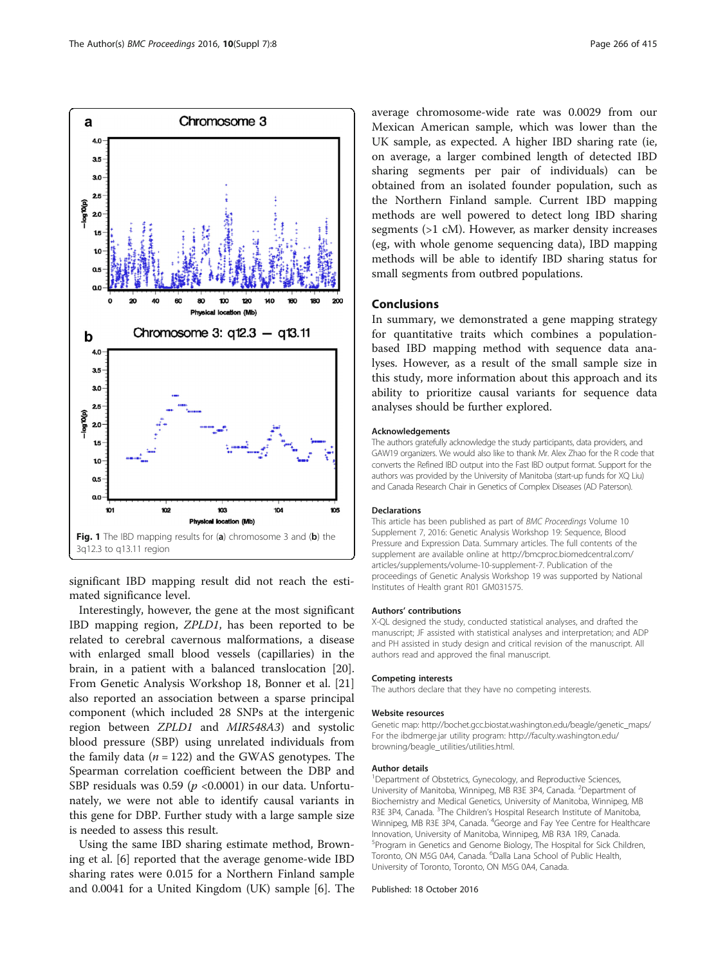<span id="page-3-0"></span>

significant IBD mapping result did not reach the estimated significance level.

Interestingly, however, the gene at the most significant IBD mapping region, ZPLD1, has been reported to be related to cerebral cavernous malformations, a disease with enlarged small blood vessels (capillaries) in the brain, in a patient with a balanced translocation [\[20](#page-4-0)]. From Genetic Analysis Workshop 18, Bonner et al. [[21](#page-4-0)] also reported an association between a sparse principal component (which included 28 SNPs at the intergenic region between ZPLD1 and MIR548A3) and systolic blood pressure (SBP) using unrelated individuals from the family data ( $n = 122$ ) and the GWAS genotypes. The Spearman correlation coefficient between the DBP and SBP residuals was 0.59 ( $p$  <0.0001) in our data. Unfortunately, we were not able to identify causal variants in this gene for DBP. Further study with a large sample size is needed to assess this result.

Using the same IBD sharing estimate method, Browning et al. [[6](#page-4-0)] reported that the average genome-wide IBD sharing rates were 0.015 for a Northern Finland sample and 0.0041 for a United Kingdom (UK) sample [[6](#page-4-0)]. The

average chromosome-wide rate was 0.0029 from our Mexican American sample, which was lower than the UK sample, as expected. A higher IBD sharing rate (ie, on average, a larger combined length of detected IBD sharing segments per pair of individuals) can be obtained from an isolated founder population, such as the Northern Finland sample. Current IBD mapping methods are well powered to detect long IBD sharing segments (>1 cM). However, as marker density increases (eg, with whole genome sequencing data), IBD mapping methods will be able to identify IBD sharing status for small segments from outbred populations.

## **Conclusions**

In summary, we demonstrated a gene mapping strategy for quantitative traits which combines a populationbased IBD mapping method with sequence data analyses. However, as a result of the small sample size in this study, more information about this approach and its ability to prioritize causal variants for sequence data analyses should be further explored.

#### Acknowledgements

The authors gratefully acknowledge the study participants, data providers, and GAW19 organizers. We would also like to thank Mr. Alex Zhao for the R code that converts the Refined IBD output into the Fast IBD output format. Support for the authors was provided by the University of Manitoba (start-up funds for XQ Liu) and Canada Research Chair in Genetics of Complex Diseases (AD Paterson).

#### **Declarations**

This article has been published as part of BMC Proceedings Volume 10 Supplement 7, 2016: Genetic Analysis Workshop 19: Sequence, Blood Pressure and Expression Data. Summary articles. The full contents of the supplement are available online at [http://bmcproc.biomedcentral.com/](http://bmcproc.biomedcentral.com/articles/supplements/volume-10-supplement-7) [articles/supplements/volume-10-supplement-7.](http://bmcproc.biomedcentral.com/articles/supplements/volume-10-supplement-7) Publication of the proceedings of Genetic Analysis Workshop 19 was supported by National Institutes of Health grant R01 GM031575.

#### Authors' contributions

X-QL designed the study, conducted statistical analyses, and drafted the manuscript; JF assisted with statistical analyses and interpretation; and ADP and PH assisted in study design and critical revision of the manuscript. All authors read and approved the final manuscript.

#### Competing interests

The authors declare that they have no competing interests.

#### Website resources

Genetic map: [http://bochet.gcc.biostat.washington.edu/beagle/genetic\\_maps/](http://bochet.gcc.biostat.washington.edu/beagle/genetic_maps/) For the ibdmerge.jar utility program: [http://faculty.washington.edu/](http://faculty.washington.edu/browning/beagle_utilities/utilities.html) [browning/beagle\\_utilities/utilities.html](http://faculty.washington.edu/browning/beagle_utilities/utilities.html).

### Author details

<sup>1</sup>Department of Obstetrics, Gynecology, and Reproductive Sciences, University of Manitoba, Winnipeg, MB R3E 3P4, Canada. <sup>2</sup>Department of Biochemistry and Medical Genetics, University of Manitoba, Winnipeg, MB R3E 3P4, Canada. <sup>3</sup>The Children's Hospital Research Institute of Manitoba, Winnipeg, MB R3E 3P4, Canada. <sup>4</sup>George and Fay Yee Centre for Healthcare Innovation, University of Manitoba, Winnipeg, MB R3A 1R9, Canada. 5 Program in Genetics and Genome Biology, The Hospital for Sick Children, Toronto, ON M5G 0A4, Canada. <sup>6</sup>Dalla Lana School of Public Health, University of Toronto, Toronto, ON M5G 0A4, Canada.

#### Published: 18 October 2016